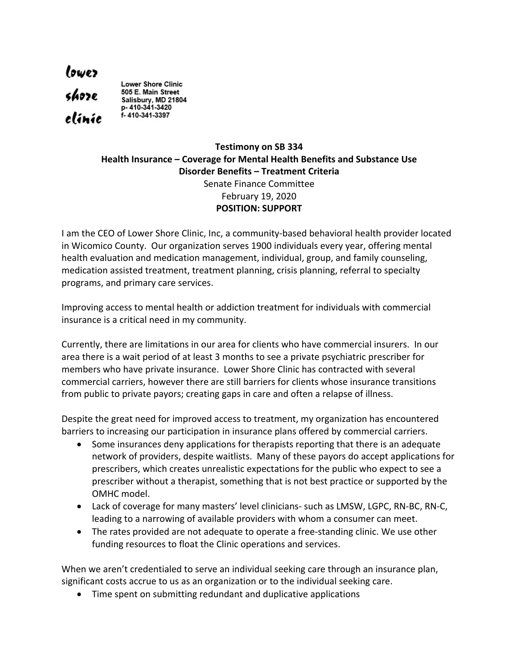lowez<br>shoze<br>clinic **Lower Shore Clinic** 505 E. Main Street Salisbury, MD 21804<br>p- 410-341-3420 f-410-341-3397

## **Testimony on SB 334 Health Insurance – Coverage for Mental Health Benefits and Substance Use Disorder Benefits – Treatment Criteria** Senate Finance Committee February 19, 2020 **POSITION: SUPPORT**

I am the CEO of Lower Shore Clinic, Inc, a community-based behavioral health provider located in Wicomico County. Our organization serves 1900 individuals every year, offering mental health evaluation and medication management, individual, group, and family counseling, medication assisted treatment, treatment planning, crisis planning, referral to specialty programs, and primary care services.

Improving access to mental health or addiction treatment for individuals with commercial insurance is a critical need in my community.

Currently, there are limitations in our area for clients who have commercial insurers. In our area there is a wait period of at least 3 months to see a private psychiatric prescriber for members who have private insurance. Lower Shore Clinic has contracted with several commercial carriers, however there are still barriers for clients whose insurance transitions from public to private payors; creating gaps in care and often a relapse of illness.

Despite the great need for improved access to treatment, my organization has encountered barriers to increasing our participation in insurance plans offered by commercial carriers.

- Some insurances deny applications for therapists reporting that there is an adequate network of providers, despite waitlists. Many of these payors do accept applications for prescribers, which creates unrealistic expectations for the public who expect to see a prescriber without a therapist, something that is not best practice or supported by the OMHC model.
- Lack of coverage for many masters' level clinicians- such as LMSW, LGPC, RN-BC, RN-C, leading to a narrowing of available providers with whom a consumer can meet.
- The rates provided are not adequate to operate a free-standing clinic. We use other funding resources to float the Clinic operations and services.

When we aren't credentialed to serve an individual seeking care through an insurance plan, significant costs accrue to us as an organization or to the individual seeking care.

• Time spent on submitting redundant and duplicative applications